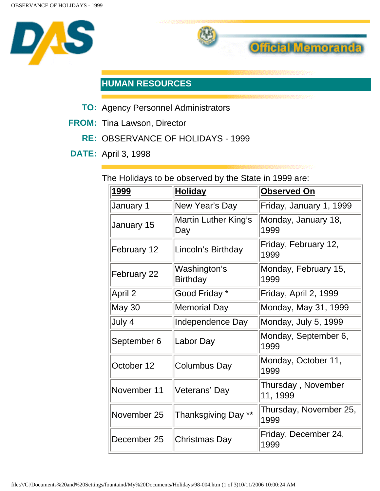



## **HUMAN RESOURCES**

- **TO:** Agency Personnel Administrators
- **FROM:** Tina Lawson, Director
	- **RE:** OBSERVANCE OF HOLIDAYS 1999
- **DATE:** April 3, 1998

The Holidays to be observed by the State in 1999 are:

| 1999          | <b>Holiday</b>                  | <b>Observed On</b>             |
|---------------|---------------------------------|--------------------------------|
| January 1     | New Year's Day                  | Friday, January 1, 1999        |
| January 15    | Martin Luther King's<br>Day     | Monday, January 18,<br>1999    |
| February 12   | Lincoln's Birthday              | Friday, February 12,<br>1999   |
| February 22   | Washington's<br><b>Birthday</b> | Monday, February 15,<br>1999   |
| April 2       | Good Friday *                   | Friday, April 2, 1999          |
| <b>May 30</b> | <b>Memorial Day</b>             | Monday, May 31, 1999           |
| July 4        | Independence Day                | Monday, July 5, 1999           |
| September 6   | Labor Day                       | Monday, September 6,<br>1999   |
| October 12    | <b>Columbus Day</b>             | Monday, October 11,<br>1999    |
| November 11   | Veterans' Day                   | Thursday, November<br>11, 1999 |
| November 25   | Thanksgiving Day **             | Thursday, November 25,<br>1999 |
| December 25   | <b>Christmas Day</b>            | Friday, December 24,<br>1999   |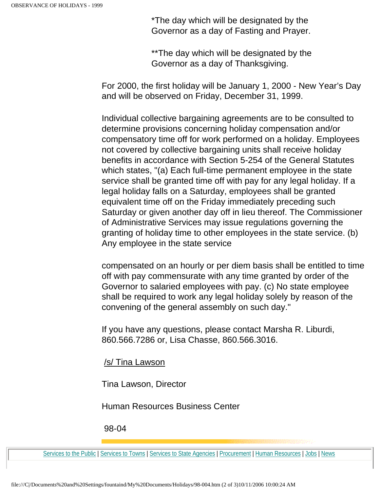\*The day which will be designated by the Governor as a day of Fasting and Prayer.

\*\*The day which will be designated by the Governor as a day of Thanksgiving.

For 2000, the first holiday will be January 1, 2000 - New Year's Day and will be observed on Friday, December 31, 1999.

Individual collective bargaining agreements are to be consulted to determine provisions concerning holiday compensation and/or compensatory time off for work performed on a holiday. Employees not covered by collective bargaining units shall receive holiday benefits in accordance with Section 5-254 of the General Statutes which states, "(a) Each full-time permanent employee in the state service shall be granted time off with pay for any legal holiday. If a legal holiday falls on a Saturday, employees shall be granted equivalent time off on the Friday immediately preceding such Saturday or given another day off in lieu thereof. The Commissioner of Administrative Services may issue regulations governing the granting of holiday time to other employees in the state service. (b) Any employee in the state service

compensated on an hourly or per diem basis shall be entitled to time off with pay commensurate with any time granted by order of the Governor to salaried employees with pay. (c) No state employee shall be required to work any legal holiday solely by reason of the convening of the general assembly on such day."

If you have any questions, please contact Marsha R. Liburdi, 860.566.7286 or, Lisa Chasse, 860.566.3016.

/s/ Tina Lawson

Tina Lawson, Director

Human Resources Business Center

98-04

[Services to the Public](http://www.das.state.ct.us/public.htm) | [Services to Towns](http://www.das.state.ct.us/muopp.htm) | [Services to State Agencies](http://www.das.state.ct.us/osaopp.htm) | [Procurement](http://www.das.state.ct.us/busopp.asp) | [Human Resources](http://www.das.state.ct.us/HR/HRhome.htm) | [Jobs](http://www.das.state.ct.us/exam/default.asp) | [News](http://www.das.state.ct.us/News/news_and_communications.htm)